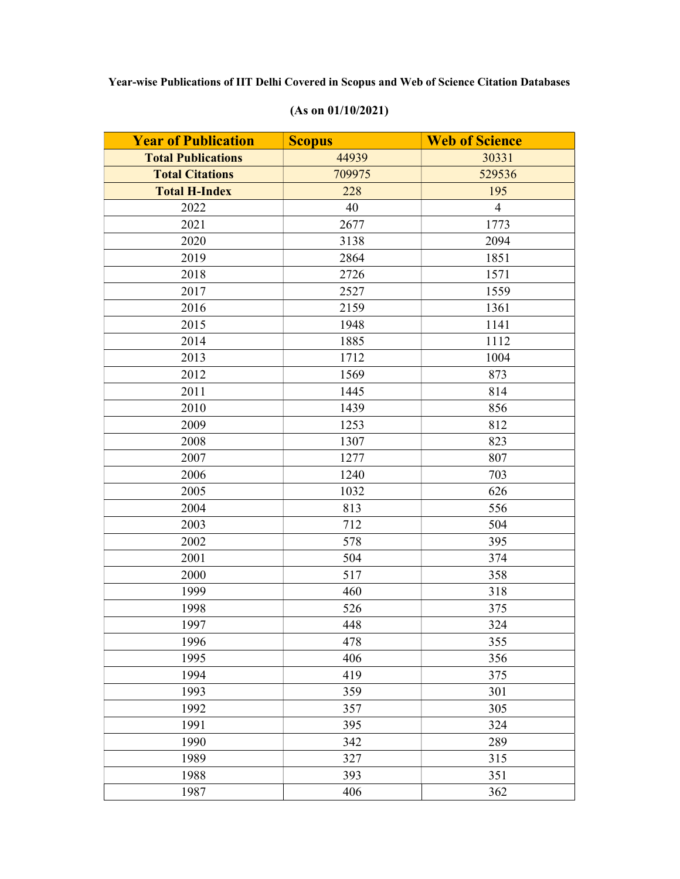| <b>Year of Publication</b> | <b>Scopus</b> | <b>Web of Science</b> |
|----------------------------|---------------|-----------------------|
| <b>Total Publications</b>  | 44939         | 30331                 |
| <b>Total Citations</b>     | 709975        | 529536                |
| <b>Total H-Index</b>       | 228           | 195                   |
| 2022                       | 40            | $\overline{4}$        |
| 2021                       | 2677          | 1773                  |
| 2020                       | 3138          | 2094                  |
| 2019                       | 2864          | 1851                  |
| 2018                       | 2726          | 1571                  |
| 2017                       | 2527          | 1559                  |
| 2016                       | 2159          | 1361                  |
| 2015                       | 1948          | 1141                  |
| 2014                       | 1885          | 1112                  |
| 2013                       | 1712          | 1004                  |
| 2012                       | 1569          | 873                   |
| 2011                       | 1445          | 814                   |
| 2010                       | 1439          | 856                   |
| 2009                       | 1253          | 812                   |
| 2008                       | 1307          | 823                   |
| 2007                       | 1277          | 807                   |
| 2006                       | 1240          | 703                   |
| 2005                       | 1032          | 626                   |
| 2004                       | 813           | 556                   |
| 2003                       | 712           | 504                   |
| 2002                       | 578           | 395                   |
| 2001                       | 504           | 374                   |
| 2000                       | 517           | 358                   |
| 1999                       | 460           | 318                   |
| 1998                       | 526           | 375                   |
| 1997                       | 448           | 324                   |
| 1996                       | 478           | 355                   |
| 1995                       | 406           | 356                   |
| 1994                       | 419           | 375                   |
| 1993                       | 359           | 301                   |
| 1992                       | 357           | 305                   |
| 1991                       | 395           | 324                   |
| 1990                       | 342           | 289                   |
| 1989                       | 327           | 315                   |
| 1988                       | 393           | 351                   |
| 1987                       | 406           | 362                   |

## (As on 01/10/2021)